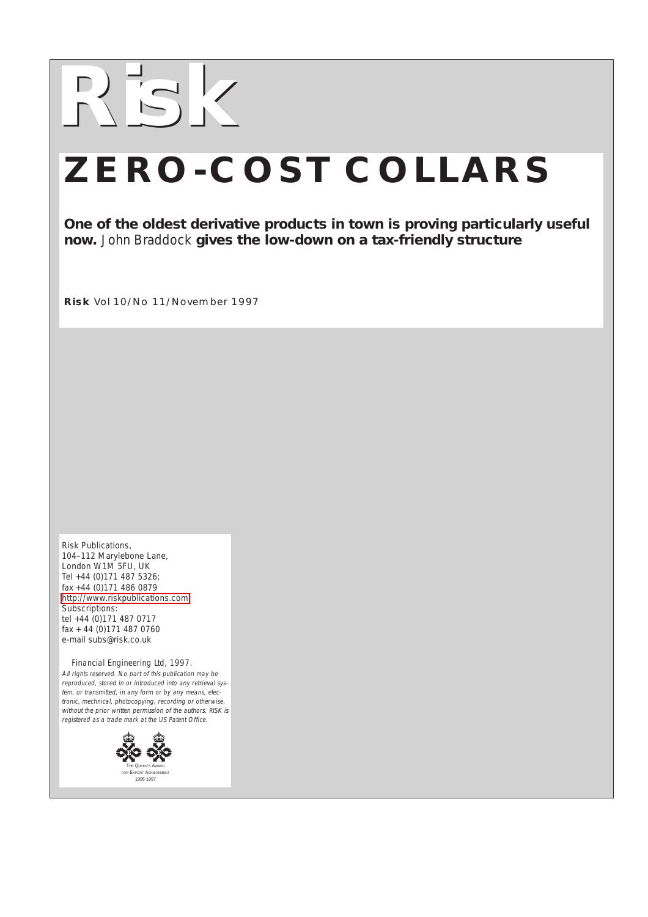

## **ZERO-COST COLLARS**

**One of the oldest derivative products in town is proving particularly useful now.** John Braddock **gives the low-down on a tax-friendly structure**

**Risk** Vol 10/No 11/November 1997

Risk Publications, 104–112 Marylebone Lane, London W1M 5FU, UK Tel +44 (0)171 487 5326; fax +44 (0)171 486 0879 <http://www.riskpublications.com> Subscriptions: tel +44 (0)171 487 0717 fax + 44 (0)171 487 0760 e-mail subs@risk.co.uk

 Financial Engineering Ltd, 1997. All rights reserved. No part of this publication may be reproduced, stored in or introduced into any retrieval system, or transmitted, in any form or by any means, electronic, mechnical, photocopying, recording or otherwise, without the prior written permission of the authors. RISK is registered as a trade mark at the US Patent Office.

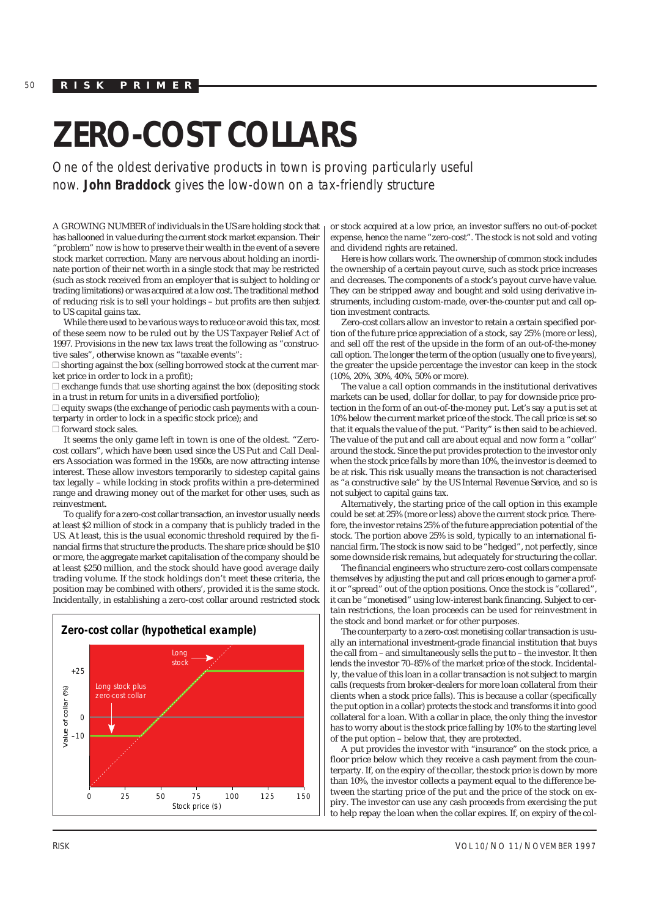50 **RISK PRIMER**

## **ZERO-COST COLLARS**

One of the oldest derivative products in town is proving particularly useful now. **John Braddock** gives the low-down on a tax-friendly structure

A GROWING NUMBER of individuals in the US are holding stock that has ballooned in value during the current stock market expansion. Their "problem" now is how to preserve their wealth in the event of a severe stock market correction. Many are nervous about holding an inordinate portion of their net worth in a single stock that may be restricted (such as stock received from an employer that is subject to holding or trading limitations) or was acquired at a low cost. The traditional method of reducing risk is to sell your holdings – but profits are then subject to US capital gains tax.

While there used to be various ways to reduce or avoid this tax, most of these seem now to be ruled out by the US Taxpayer Relief Act of 1997. Provisions in the new tax laws treat the following as "constructive sales", otherwise known as "taxable events":

 $\Box$  shorting against the box (selling borrowed stock at the current market price in order to lock in a profit);

 $\Box$  exchange funds that use shorting against the box (depositing stock in a trust in return for units in a diversified portfolio);

 $\Box$  equity swaps (the exchange of periodic cash payments with a counterparty in order to lock in a specific stock price); and

 $\Box$  forward stock sales.

It seems the only game left in town is one of the oldest. "Zerocost collars", which have been used since the US Put and Call Dealers Association was formed in the 1950s, are now attracting intense interest. These allow investors temporarily to sidestep capital gains tax legally – while locking in stock profits within a pre-determined range and drawing money out of the market for other uses, such as reinvestment.

To qualify for a zero-cost collar transaction, an investor usually needs at least \$2 million of stock in a company that is publicly traded in the US. At least, this is the usual economic threshold required by the financial firms that structure the products. The share price should be \$10 or more, the aggregate market capitalisation of the company should be at least \$250 million, and the stock should have good average daily trading volume. If the stock holdings don't meet these criteria, the position may be combined with others', provided it is the same stock. Incidentally, in establishing a zero-cost collar around restricted stock



or stock acquired at a low price, an investor suffers no out-of-pocket expense, hence the name "zero-cost". The stock is not sold and voting and dividend rights are retained.

Here is how collars work. The ownership of common stock includes the ownership of a certain payout curve, such as stock price increases and decreases. The components of a stock's payout curve have value. They can be stripped away and bought and sold using derivative instruments, including custom-made, over-the-counter put and call option investment contracts.

Zero-cost collars allow an investor to retain a certain specified portion of the future price appreciation of a stock, say 25% (more or less), and sell off the rest of the upside in the form of an out-of-the-money call option. The longer the term of the option (usually one to five years), the greater the upside percentage the investor can keep in the stock (10%, 20%, 30%, 40%, 50% or more).

The value a call option commands in the institutional derivatives markets can be used, dollar for dollar, to pay for downside price protection in the form of an out-of-the-money put. Let's say a put is set at 10% below the current market price of the stock. The call price is set so that it equals the value of the put. "Parity" is then said to be achieved. The value of the put and call are about equal and now form a "collar" around the stock. Since the put provides protection to the investor only when the stock price falls by more than 10%, the investor is deemed to be at risk. This risk usually means the transaction is not characterised as "a constructive sale" by the US Internal Revenue Service, and so is not subject to capital gains tax.

Alternatively, the starting price of the call option in this example could be set at 25% (more or less) above the current stock price. Therefore, the investor retains 25% of the future appreciation potential of the stock. The portion above 25% is sold, typically to an international financial firm. The stock is now said to be "hedged", not perfectly, since some downside risk remains, but adequately for structuring the collar.

The financial engineers who structure zero-cost collars compensate themselves by adjusting the put and call prices enough to garner a profit or "spread" out of the option positions. Once the stock is "collared", it can be "monetised" using low-interest bank financing. Subject to certain restrictions, the loan proceeds can be used for reinvestment in the stock and bond market or for other purposes.

The counterparty to a zero-cost monetising collar transaction is usually an international investment-grade financial institution that buys the call from – and simultaneously sells the put to – the investor. It then lends the investor 70–85% of the market price of the stock. Incidentally, the value of this loan in a collar transaction is not subject to margin calls (requests from broker-dealers for more loan collateral from their clients when a stock price falls). This is because a collar (specifically the put option in a collar) protects the stock and transforms it into good collateral for a loan. With a collar in place, the only thing the investor has to worry about is the stock price falling by 10% to the starting level of the put option – below that, they are protected.

A put provides the investor with "insurance" on the stock price, a floor price below which they receive a cash payment from the counterparty. If, on the expiry of the collar, the stock price is down by more than 10%, the investor collects a payment equal to the difference between the starting price of the put and the price of the stock on expiry. The investor can use any cash proceeds from exercising the put to help repay the loan when the collar expires. If, on expiry of the col-